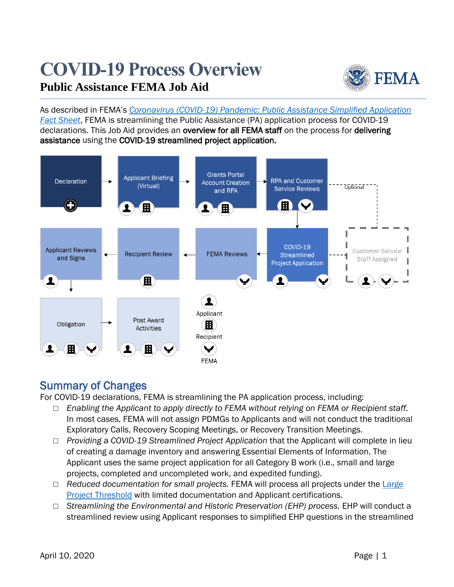# **COVID-19 Process Overview Public Assistance FEMA Job Aid**



As described in FEMA's *[Coronavirus \(COVID-19\) Pandemic: Public Assistance Simplified Application](https://intranet.fema.net/org/orr/recovery/pad/Coronavirus%20PA/PA%20Simplified%20Application%20for%20COVID-19%20Fact%20Sheet%20(03.22.20).pdf)  [Fact Sheet](https://intranet.fema.net/org/orr/recovery/pad/Coronavirus%20PA/PA%20Simplified%20Application%20for%20COVID-19%20Fact%20Sheet%20(03.22.20).pdf)*, FEMA is streamlining the Public Assistance (PA) application process for COVID-19 declarations. This Job Aid provides an overview for all FEMA staff on the process for delivering assistance using the COVID-19 streamlined project application.



# Summary of Changes

For COVID-19 declarations, FEMA is streamlining the PA application process, including:

- □ *Enabling the Applicant to apply directly to FEMA without relying on FEMA or Recipient staff.*  In most cases, FEMA will not assign PDMGs to Applicants and will not conduct the traditional Exploratory Calls, Recovery Scoping Meetings, or Recovery Transition Meetings.
- □ *Providing a COVID-19 Streamlined Project Application* that the Applicant will complete in lieu of creating a damage inventory and answering Essential Elements of Information. The Applicant uses the same project application for all Category B work (i.e., small and large projects, completed and uncompleted work, and expedited funding).
- □ *Reduced documentation for small projects.* FEMA will process all projects under the Large [Project Threshold](https://www.fema.gov/public-assistance-indicator-and-project-thresholds) with limited documentation and Applicant certifications.
- □ *Streamlining the Environmental and Historic Preservation (EHP) process.* EHP will conduct a streamlined review using Applicant responses to simplified EHP questions in the streamlined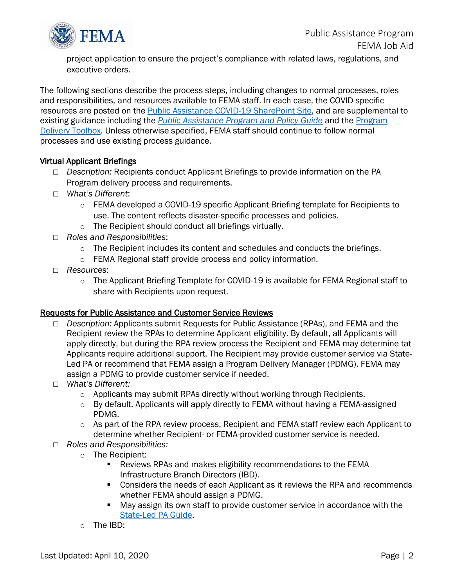

project application to ensure the project's compliance with related laws, regulations, and executive orders.

The following sections describe the process steps, including changes to normal processes, roles and responsibilities, and resources available to FEMA staff. In each case, the COVID-specific resources are posted on the [Public Assistance COVID-19 SharePoint Site,](https://intranet.fema.net/org/orr/recovery/pad/Coronavirus%20PA/Forms/AllItems.aspx?InitialTabId=Ribbon%2EDocument&VisibilityContext=WSSTabPersistence) and are supplemental to existing guidance including the *[Public Assistance Program and Policy Guide](https://www.fema.gov/media-library/assets/documents/111781)* and the [Program](https://intranet.fema.net/org/orr/recovery/pad/NewPA/Pages/Delivery-Toolbox.aspx)  [Delivery Toolbox.](https://intranet.fema.net/org/orr/recovery/pad/NewPA/Pages/Delivery-Toolbox.aspx) Unless otherwise specified, FEMA staff should continue to follow normal processes and use existing process guidance.

# Virtual Applicant Briefings

- □ *Description:* Recipients conduct Applicant Briefings to provide information on the PA Program delivery process and requirements.
- □ *What's Different*:
	- o FEMA developed a COVID-19 specific Applicant Briefing template for Recipients to use. The content reflects disaster-specific processes and policies.
	- o The Recipient should conduct all briefings virtually.
- □ *Roles and Responsibilities*:
	- $\circ$  The Recipient includes its content and schedules and conducts the briefings.
	- o FEMA Regional staff provide process and policy information.
- □ *Resources*:
	- o The Applicant Briefing Template for COVID-19 is available for FEMA Regional staff to share with Recipients upon request.

#### Requests for Public Assistance and Customer Service Reviews

- □ *Description:* Applicants submit Requests for Public Assistance (RPAs), and FEMA and the Recipient review the RPAs to determine Applicant eligibility. By default, all Applicants will apply directly, but during the RPA review process the Recipient and FEMA may determine tat Applicants require additional support. The Recipient may provide customer service via State-Led PA or recommend that FEMA assign a Program Delivery Manager (PDMG). FEMA may assign a PDMG to provide customer service if needed.
- □ *What's Different:*
	- $\circ$  Applicants may submit RPAs directly without working through Recipients.
	- o By default, Applicants will apply directly to FEMA without having a FEMA-assigned PDMG.
	- $\circ$  As part of the RPA review process, Recipient and FEMA staff review each Applicant to determine whether Recipient- or FEMA-provided customer service is needed.
- □ *Roles and Responsibilities:*
	- o The Recipient:
		- Reviews RPAs and makes eligibility recommendations to the FEMA Infrastructure Branch Directors (IBD).
		- Considers the needs of each Applicant as it reviews the RPA and recommends whether FEMA should assign a PDMG.
		- May assign its own staff to provide customer service in accordance with the [State-Led](https://www.fema.gov/media-library-data/1558538652426-d4165531878c8c8795551d3a7665d03e/State-Led_PA_Guide_2-1-2019.pdf) PA Guide.
	- o The IBD: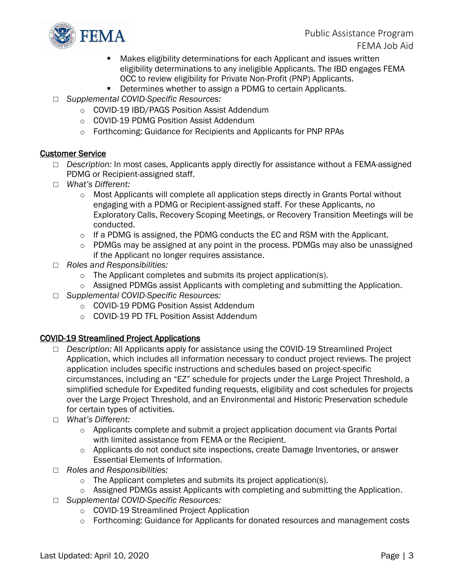

- Makes eligibility determinations for each Applicant and issues written eligibility determinations to any ineligible Applicants. The IBD engages FEMA OCC to review eligibility for Private Non-Profit (PNP) Applicants.
- Determines whether to assign a PDMG to certain Applicants.
- □ *Supplemental COVID-Specific Resources:*
	- o COVID-19 IBD/PAGS Position Assist Addendum
	- o COVID-19 PDMG Position Assist Addendum
	- o Forthcoming: Guidance for Recipients and Applicants for PNP RPAs

# Customer Service

- □ *Description:* In most cases, Applicants apply directly for assistance without a FEMA-assigned PDMG or Recipient-assigned staff.
- □ *What's Different:*
	- $\circ$  Most Applicants will complete all application steps directly in Grants Portal without engaging with a PDMG or Recipient-assigned staff. For these Applicants, no Exploratory Calls, Recovery Scoping Meetings, or Recovery Transition Meetings will be conducted.
	- $\circ$  If a PDMG is assigned, the PDMG conducts the EC and RSM with the Applicant.
	- o PDMGs may be assigned at any point in the process. PDMGs may also be unassigned if the Applicant no longer requires assistance.
- □ *Roles and Responsibilities:*
	- o The Applicant completes and submits its project application(s).
	- o Assigned PDMGs assist Applicants with completing and submitting the Application.
- □ *Supplemental COVID-Specific Resources:*
	- o COVID-19 PDMG Position Assist Addendum
	- o COVID-19 PD TFL Position Assist Addendum

# COVID-19 Streamlined Project Applications

- □ *Description:* All Applicants apply for assistance using the COVID-19 Streamlined Project Application, which includes all information necessary to conduct project reviews. The project application includes specific instructions and schedules based on project-specific circumstances, including an "EZ" schedule for projects under the Large Project Threshold, a simplified schedule for Expedited funding requests, eligibility and cost schedules for projects over the Large Project Threshold, and an Environmental and Historic Preservation schedule for certain types of activities.
- □ *What's Different:*
	- $\circ$  Applicants complete and submit a project application document via Grants Portal with limited assistance from FEMA or the Recipient.
	- $\circ$  Applicants do not conduct site inspections, create Damage Inventories, or answer Essential Elements of Information.
- □ *Roles and Responsibilities:*
	- o The Applicant completes and submits its project application(s).
	- o Assigned PDMGs assist Applicants with completing and submitting the Application.
- □ *Supplemental COVID-Specific Resources:*
	- o COVID-19 Streamlined Project Application
	- $\circ$  Forthcoming: Guidance for Applicants for donated resources and management costs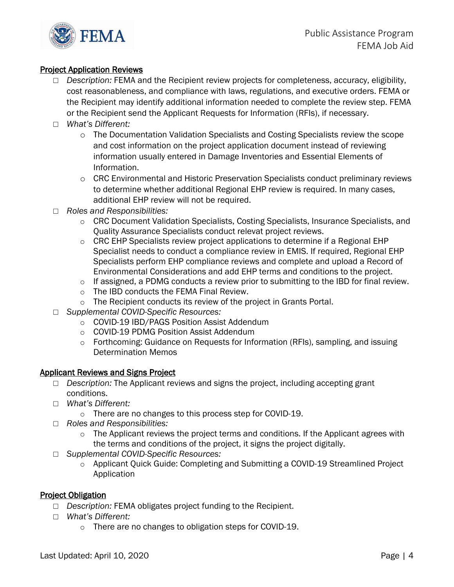

# Project Application Reviews

- □ *Description:* FEMA and the Recipient review projects for completeness, accuracy, eligibility, cost reasonableness, and compliance with laws, regulations, and executive orders. FEMA or the Recipient may identify additional information needed to complete the review step. FEMA or the Recipient send the Applicant Requests for Information (RFIs), if necessary.
- □ *What's Different:*
	- $\circ$  The Documentation Validation Specialists and Costing Specialists review the scope and cost information on the project application document instead of reviewing information usually entered in Damage Inventories and Essential Elements of Information.
	- o CRC Environmental and Historic Preservation Specialists conduct preliminary reviews to determine whether additional Regional EHP review is required. In many cases, additional EHP review will not be required.
- □ *Roles and Responsibilities:*
	- $\circ$  CRC Document Validation Specialists, Costing Specialists, Insurance Specialists, and Quality Assurance Specialists conduct relevat project reviews.
	- o CRC EHP Specialists review project applications to determine if a Regional EHP Specialist needs to conduct a compliance review in EMIS. If required, Regional EHP Specialists perform EHP compliance reviews and complete and upload a Record of Environmental Considerations and add EHP terms and conditions to the project.
	- o If assigned, a PDMG conducts a review prior to submitting to the IBD for final review.
	- o The IBD conducts the FEMA Final Review.
	- o The Recipient conducts its review of the project in Grants Portal.
- □ *Supplemental COVID-Specific Resources:*
	- o COVID-19 IBD/PAGS Position Assist Addendum
	- o COVID-19 PDMG Position Assist Addendum
	- o Forthcoming: Guidance on Requests for Information (RFIs), sampling, and issuing Determination Memos

#### Applicant Reviews and Signs Project

- □ *Description:* The Applicant reviews and signs the project, including accepting grant conditions.
- □ *What's Different:*
	- o There are no changes to this process step for COVID-19.
- □ *Roles and Responsibilities:*
	- $\circ$  The Applicant reviews the project terms and conditions. If the Applicant agrees with the terms and conditions of the project, it signs the project digitally.
- □ *Supplemental COVID-Specific Resources:*
	- o Applicant Quick Guide: Completing and Submitting a COVID-19 Streamlined Project Application

# **Project Obligation**

- □ *Description:* FEMA obligates project funding to the Recipient.
- □ *What's Different:*
	- o There are no changes to obligation steps for COVID-19.